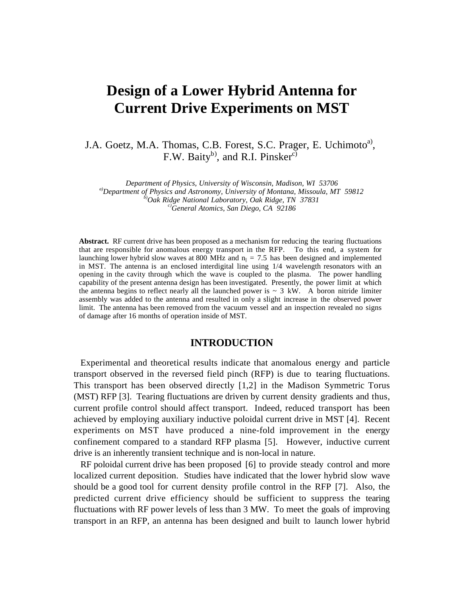# **Design of a Lower Hybrid Antenna for Current Drive Experiments on MST**

J.A. Goetz, M.A. Thomas, C.B. Forest, S.C. Prager, E. Uchimoto<sup>a</sup>), F.W. Baity<sup>b</sup>, and R.I. Pinsker<sup>c)</sup>

Department of Physics, University of Wisconsin, Madison, WI 53706<br>
<sup>a)</sup>Department of Physics and Astronomy, University of Montana, Missoula, MT 59812<br>
<sup>b)</sup>Oak Ridge National Laboratory, Oak Ridge, TN 37831<br>
c)General Atom

**Abstract.** RF current drive has been proposed as a mechanism for reducing the tearing fluctuations that are responsible for anomalous energy transport in the RFP. To this end, a system for launching lower hybrid slow waves at 800 MHz and  $n_1 = 7.5$  has been designed and implemented in MST. The antenna is an enclosed interdigital line using 1/4 wavelength resonators with an opening in the cavity through which the wave is coupled to the plasma. The power handling capability of the present antenna design has been investigated. Presently, the power limit at which the antenna begins to reflect nearly all the launched power is  $\sim 3 \text{ kW}$ . A boron nitride limiter assembly was added to the antenna and resulted in only a slight increase in the observed power limit. The antenna has been removed from the vacuum vessel and an inspection revealed no signs of damage after 16 months of operation inside of MST.

#### **INTRODUCTION**

Experimental and theoretical results indicate that anomalous energy and particle transport observed in the reversed field pinch (RFP) is due to tearing fluctuations. This transport has been observed directly [1,2] in the Madison Symmetric Torus (MST) RFP [3]. Tearing fluctuations are driven by current density gradients and thus, current profile control should affect transport. Indeed, reduced transport has been achieved by employing auxiliary inductive poloidal current drive in MST [4]. Recent experiments on MST have produced a nine-fold improvement in the energy confinement compared to a standard RFP plasma [5]. However, inductive current drive is an inherently transient technique and is non-local in nature.

RF poloidal current drive has been proposed [6] to provide steady control and more localized current deposition. Studies have indicated that the lower hybrid slow wave should be a good tool for current density profile control in the RFP [7]. Also, the predicted current drive efficiency should be sufficient to suppress the tearing fluctuations with RF power levels of less than 3 MW. To meet the goals of improving transport in an RFP, an antenna has been designed and built to launch lower hybrid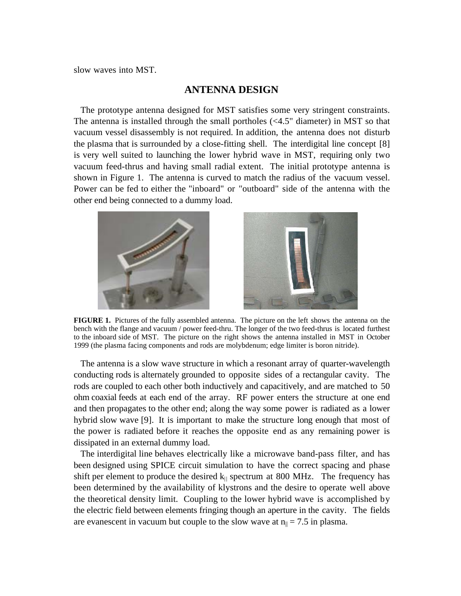slow waves into MST.

#### **ANTENNA DESIGN**

The prototype antenna designed for MST satisfies some very stringent constraints. The antenna is installed through the small portholes (<4.5" diameter) in MST so that vacuum vessel disassembly is not required. In addition, the antenna does not disturb the plasma that is surrounded by a close-fitting shell. The interdigital line concept [8] is very well suited to launching the lower hybrid wave in MST, requiring only two vacuum feed-thrus and having small radial extent. The initial prototype antenna is shown in Figure 1. The antenna is curved to match the radius of the vacuum vessel. Power can be fed to either the "inboard" or "outboard" side of the antenna with the other end being connected to a dummy load.



**FIGURE 1.** Pictures of the fully assembled antenna. The picture on the left shows the antenna on the bench with the flange and vacuum / power feed-thru. The longer of the two feed-thrus is located furthest to the inboard side of MST. The picture on the right shows the antenna installed in MST in October 1999 (the plasma facing components and rods are molybdenum; edge limiter is boron nitride).

The antenna is a slow wave structure in which a resonant array of quarter-wavelength conducting rods is alternately grounded to opposite sides of a rectangular cavity. The rods are coupled to each other both inductively and capacitively, and are matched to 50 ohm coaxial feeds at each end of the array. RF power enters the structure at one end and then propagates to the other end; along the way some power is radiated as a lower hybrid slow wave [9]. It is important to make the structure long enough that most of the power is radiated before it reaches the opposite end as any remaining power is dissipated in an external dummy load.

The interdigital line behaves electrically like a microwave band-pass filter, and has been designed using SPICE circuit simulation to have the correct spacing and phase shift per element to produce the desired  $k_{\parallel}$  spectrum at 800 MHz. The frequency has been determined by the availability of klystrons and the desire to operate well above the theoretical density limit. Coupling to the lower hybrid wave is accomplished by the electric field between elements fringing though an aperture in the cavity. The fields are evanescent in vacuum but couple to the slow wave at  $n_{\parallel} = 7.5$  in plasma.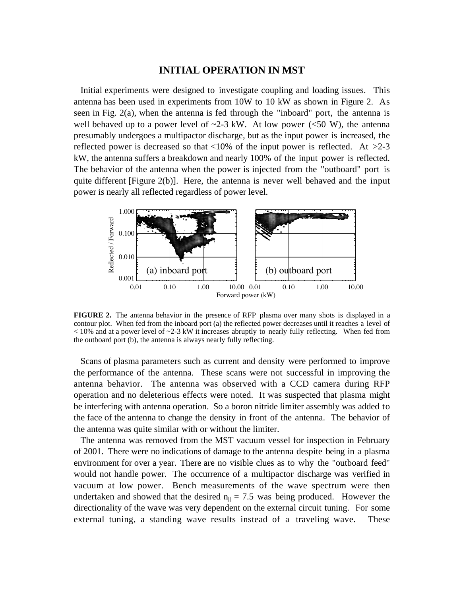#### **INITIAL OPERATION IN MST**

Initial experiments were designed to investigate coupling and loading issues. This antenna has been used in experiments from 10W to 10 kW as shown in Figure 2. As seen in Fig. 2(a), when the antenna is fed through the "inboard" port, the antenna is well behaved up to a power level of  $\sim$ 2-3 kW. At low power ( $\lt$ 50 W), the antenna presumably undergoes a multipactor discharge, but as the input power is increased, the reflected power is decreased so that  $\langle 10\%$  of the input power is reflected. At  $>2-3$ kW, the antenna suffers a breakdown and nearly 100% of the input power is reflected. The behavior of the antenna when the power is injected from the "outboard" port is quite different [Figure 2(b)]. Here, the antenna is never well behaved and the input power is nearly all reflected regardless of power level.



**FIGURE 2.** The antenna behavior in the presence of RFP plasma over many shots is displayed in a contour plot. When fed from the inboard port (a) the reflected power decreases until it reaches a level of  $<$  10% and at a power level of  $\sim$ 2-3 kW it increases abruptly to nearly fully reflecting. When fed from the outboard port (b), the antenna is always nearly fully reflecting.

Scans of plasma parameters such as current and density were performed to improve the performance of the antenna. These scans were not successful in improving the antenna behavior. The antenna was observed with a CCD camera during RFP operation and no deleterious effects were noted. It was suspected that plasma might be interfering with antenna operation. So a boron nitride limiter assembly was added to the face of the antenna to change the density in front of the antenna. The behavior of the antenna was quite similar with or without the limiter.

The antenna was removed from the MST vacuum vessel for inspection in February of 2001. There were no indications of damage to the antenna despite being in a plasma environment for over a year.There are no visible clues as to why the "outboard feed" would not handle power. The occurrence of a multipactor discharge was verified in vacuum at low power. Bench measurements of the wave spectrum were then undertaken and showed that the desired  $n_{\parallel} = 7.5$  was being produced. However the directionality of the wave was very dependent on the external circuit tuning. For some external tuning, a standing wave results instead of a traveling wave. These